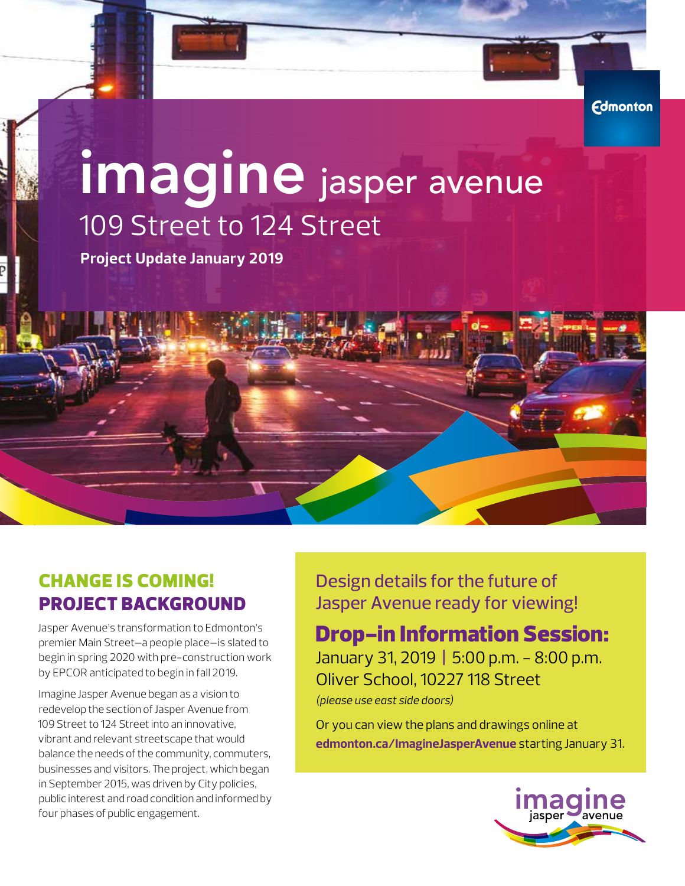# imagine jasper avenue 109 Street to 124 Street

**Project Update January 2019**



## CHANGE IS COMING! PROJECT BACKGROUND

Jasper Avenue's transformation to Edmonton's premier Main Street—a people place—is slated to begin in spring 2020 with pre-construction work by EPCOR anticipated to begin in fall 2019.

Imagine Jasper Avenue began as a vision to redevelop the section of Jasper Avenue from 109 Street to 124 Street into an innovative, vibrant and relevant streetscape that would balance the needs of the community, commuters, businesses and visitors. The project, which began in September 2015, was driven by City policies, public interest and road condition and informed by four phases of public engagement.

Design details for the future of Jasper Avenue ready for viewing!

### Drop-in Information Session:

January 31, 2019 **|** 5:00 p.m. - 8:00 p.m. Oliver School, 10227 118 Street *(please use east side doors)*

Or you can view the plans and drawings online at **edmonton.ca/ImagineJasperAvenue** starting January 31.



**Edmonton**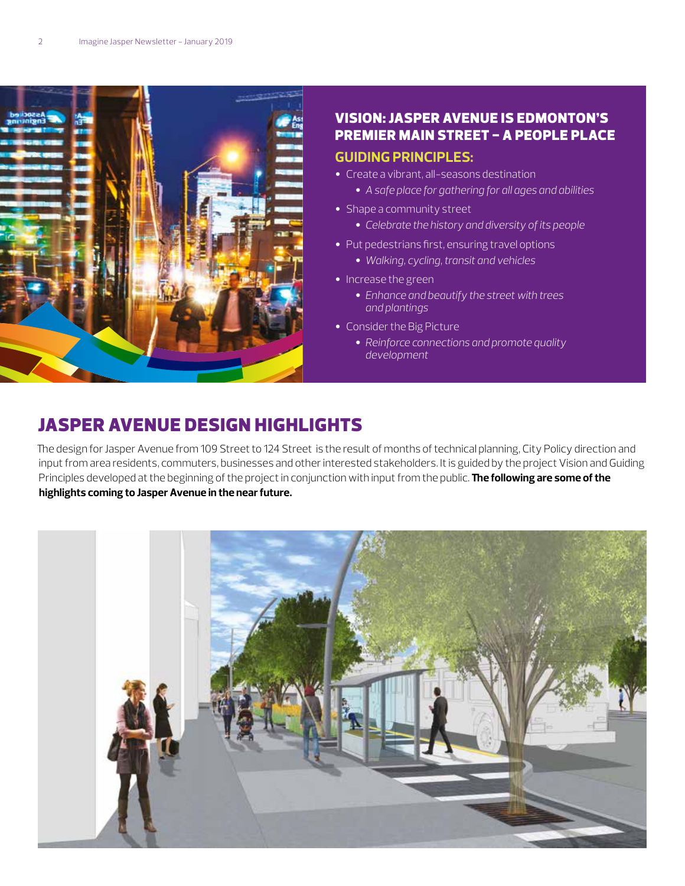

#### VISION: JASPER AVENUE IS EDMONTON'S PREMIER MAIN STREET - A PEOPLE PLACE **GUIDING PRINCIPLES:**

- Create a vibrant, all-seasons destination
	- *A safe place for gathering for all ages and abilities*
- Shape a community street
	- *Celebrate the history and diversity of its people*
- Put pedestrians first, ensuring travel options
	- *Walking, cycling, transit and vehicles*
- Increase the green
	- *Enhance and beautify the street with trees and plantings*
- Consider the Big Picture
	- *Reinforce connections and promote quality development*

#### JASPER AVENUE DESIGN HIGHLIGHTS

The design for Jasper Avenue from 109 Street to 124 Street is the result of months of technical planning, City Policy direction and input from area residents, commuters, businesses and other interested stakeholders. It is guided by the project Vision and Guiding Principles developed at the beginning of the project in conjunction with input from the public. **The following are some of the highlights coming to Jasper Avenue in the near future.**

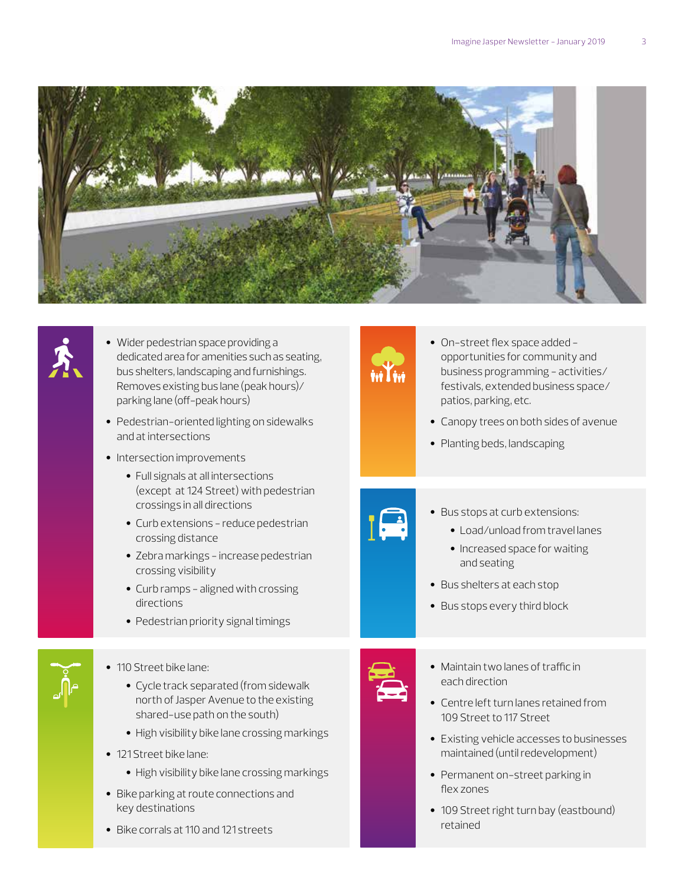



- Wider pedestrian space providing a dedicated area for amenities such as seating, bus shelters, landscaping and furnishings. Removes existing bus lane (peak hours)/ parking lane (off-peak hours)
- Pedestrian-oriented lighting on sidewalks and at intersections
- Intersection improvements
	- Full signals at all intersections (except at 124 Street) with pedestrian crossings in all directions
	- Curb extensions reduce pedestrian crossing distance
	- Zebra markings increase pedestrian crossing visibility
	- Curb ramps aligned with crossing directions
	- Pedestrian priority signal timings



#### • 110 Street bike lane:

- Cycle track separated (from sidewalk north of Jasper Avenue to the existing shared-use path on the south)
- High visibility bike lane crossing markings
- 121 Street bike lane:
	- High visibility bike lane crossing markings
- Bike parking at route connections and key destinations
- Bike corrals at 110 and 121 streets



- On-street flex space added opportunities for community and business programming - activities/ festivals, extended business space/ patios, parking, etc.
- Canopy trees on both sides of avenue
- Planting beds, landscaping



- Bus stops at curb extensions:
	- Load/unload from travel lanes
	- Increased space for waiting and seating
- Bus shelters at each stop
- Bus stops every third block



- Maintain two lanes of traffic in each direction
- Centre left turn lanes retained from 109 Street to 117 Street
- Existing vehicle accesses to businesses maintained (until redevelopment)
- Permanent on-street parking in flex zones
- 109 Street right turn bay (eastbound) retained